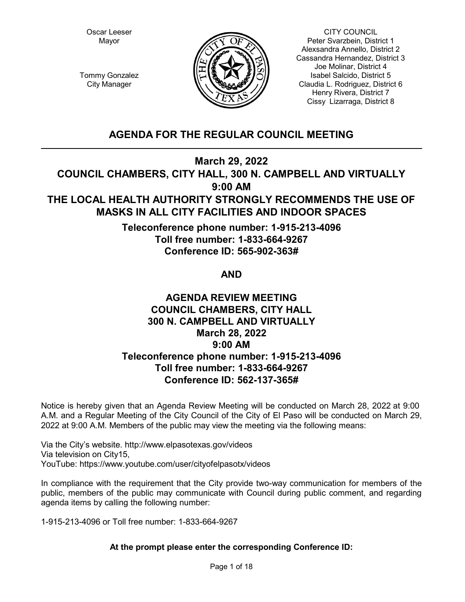Oscar Leeser Mayor



CITY COUNCIL Peter Svarzbein, District 1 Alexsandra Annello, District 2 Cassandra Hernandez, District 3 Joe Molinar, District 4 Isabel Salcido, District 5 Claudia L. Rodriguez, District 6 Henry Rivera, District 7 Cissy Lizarraga, District 8

Tommy Gonzalez City Manager

# **AGENDA FOR THE REGULAR COUNCIL MEETING**

**March 29, 2022**

**COUNCIL CHAMBERS, CITY HALL, 300 N. CAMPBELL AND VIRTUALLY 9:00 AM**

# **THE LOCAL HEALTH AUTHORITY STRONGLY RECOMMENDS THE USE OF MASKS IN ALL CITY FACILITIES AND INDOOR SPACES**

**Teleconference phone number: 1-915-213-4096 Toll free number: 1-833-664-9267 Conference ID: 565-902-363#**

**AND**

# **AGENDA REVIEW MEETING COUNCIL CHAMBERS, CITY HALL 300 N. CAMPBELL AND VIRTUALLY March 28, 2022 9:00 AM Teleconference phone number: 1-915-213-4096 Toll free number: 1-833-664-9267 Conference ID: 562-137-365#**

Notice is hereby given that an Agenda Review Meeting will be conducted on March 28, 2022 at 9:00 A.M. and a Regular Meeting of the City Council of the City of El Paso will be conducted on March 29, 2022 at 9:00 A.M. Members of the public may view the meeting via the following means:

Via the City's website. http://www.elpasotexas.gov/videos Via television on City15, YouTube: https://www.youtube.com/user/cityofelpasotx/videos

In compliance with the requirement that the City provide two-way communication for members of the public, members of the public may communicate with Council during public comment, and regarding agenda items by calling the following number:

1-915-213-4096 or Toll free number: 1-833-664-9267

# **At the prompt please enter the corresponding Conference ID:**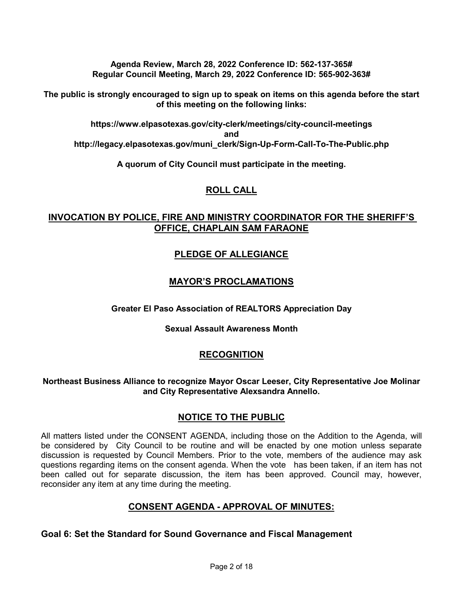**Agenda Review, March 28, 2022 Conference ID: 562-137-365# Regular Council Meeting, March 29, 2022 Conference ID: 565-902-363#**

**The public is strongly encouraged to sign up to speak on items on this agenda before the start of this meeting on the following links:**

**https://www.elpasotexas.gov/city-clerk/meetings/city-council-meetings and http://legacy.elpasotexas.gov/muni\_clerk/Sign-Up-Form-Call-To-The-Public.php**

**A quorum of City Council must participate in the meeting.**

# **ROLL CALL**

# **INVOCATION BY POLICE, FIRE AND MINISTRY COORDINATOR FOR THE SHERIFF'S OFFICE, CHAPLAIN SAM FARAONE**

# **PLEDGE OF ALLEGIANCE**

# **MAYOR'S PROCLAMATIONS**

### **Greater El Paso Association of REALTORS Appreciation Day**

### **Sexual Assault Awareness Month**

# **RECOGNITION**

### **Northeast Business Alliance to recognize Mayor Oscar Leeser, City Representative Joe Molinar and City Representative Alexsandra Annello.**

# **NOTICE TO THE PUBLIC**

All matters listed under the CONSENT AGENDA, including those on the Addition to the Agenda, will be considered by City Council to be routine and will be enacted by one motion unless separate discussion is requested by Council Members. Prior to the vote, members of the audience may ask questions regarding items on the consent agenda. When the vote has been taken, if an item has not been called out for separate discussion, the item has been approved. Council may, however, reconsider any item at any time during the meeting.

# **CONSENT AGENDA - APPROVAL OF MINUTES:**

### **Goal 6: Set the Standard for Sound Governance and Fiscal Management**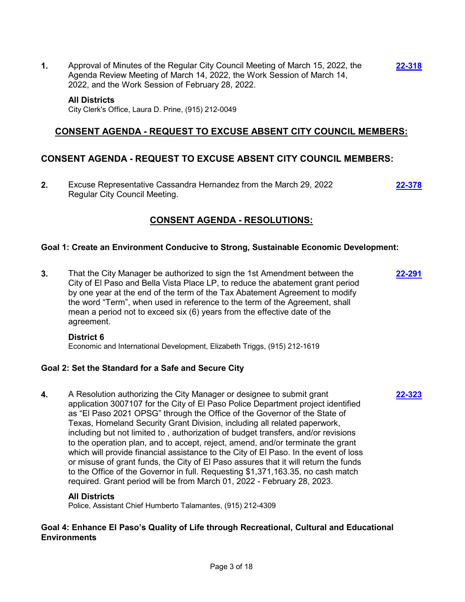**1.** Approval of Minutes of the Regular City Council Meeting of March 15, 2022, the Agenda Review Meeting of March 14, 2022, the Work Session of March 14, 2022, and the Work Session of February 28, 2022.

#### **All Districts**

City Clerk's Office, Laura D. Prine, (915) 212-0049

### **CONSENT AGENDA - REQUEST TO EXCUSE ABSENT CITY COUNCIL MEMBERS:**

### **CONSENT AGENDA - REQUEST TO EXCUSE ABSENT CITY COUNCIL MEMBERS:**

**2.** Excuse Representative Cassandra Hernandez from the March 29, 2022 Regular City Council Meeting.

**[22-378](http://elpasotexas.legistar.com/gateway.aspx?m=l&id=/matter.aspx?key=6842)**

**[22-323](http://elpasotexas.legistar.com/gateway.aspx?m=l&id=/matter.aspx?key=6787)**

**[22-318](http://elpasotexas.legistar.com/gateway.aspx?m=l&id=/matter.aspx?key=6782)**

# **CONSENT AGENDA - RESOLUTIONS:**

### **Goal 1: Create an Environment Conducive to Strong, Sustainable Economic Development:**

**3.** That the City Manager be authorized to sign the 1st Amendment between the City of El Paso and Bella Vista Place LP, to reduce the abatement grant period by one year at the end of the term of the Tax Abatement Agreement to modify the word "Term", when used in reference to the term of the Agreement, shall mean a period not to exceed six (6) years from the effective date of the agreement. **[22-291](http://elpasotexas.legistar.com/gateway.aspx?m=l&id=/matter.aspx?key=6755)**

#### **District 6**

Economic and International Development, Elizabeth Triggs, (915) 212-1619

### **Goal 2: Set the Standard for a Safe and Secure City**

**4.** A Resolution authorizing the City Manager or designee to submit grant application 3007107 for the City of El Paso Police Department project identified as "El Paso 2021 OPSG" through the Office of the Governor of the State of Texas, Homeland Security Grant Division, including all related paperwork, including but not limited to , authorization of budget transfers, and/or revisions to the operation plan, and to accept, reject, amend, and/or terminate the grant which will provide financial assistance to the City of El Paso. In the event of loss or misuse of grant funds, the City of El Paso assures that it will return the funds to the Office of the Governor in full. Requesting \$1,371,163.35, no cash match required. Grant period will be from March 01, 2022 - February 28, 2023.

### **All Districts**

Police, Assistant Chief Humberto Talamantes, (915) 212-4309

### **Goal 4: Enhance El Paso's Quality of Life through Recreational, Cultural and Educational Environments**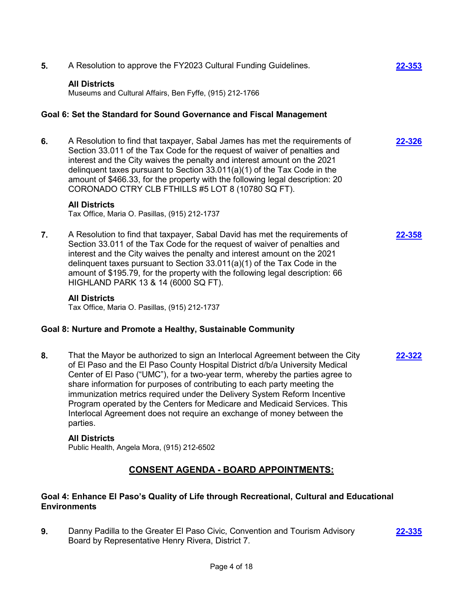| 5. | A Resolution to approve the FY2023 Cultural Funding Guidelines.                                                                                                                                                                                                                                                                                                                                                                                                                                                                                                         | 22-353 |
|----|-------------------------------------------------------------------------------------------------------------------------------------------------------------------------------------------------------------------------------------------------------------------------------------------------------------------------------------------------------------------------------------------------------------------------------------------------------------------------------------------------------------------------------------------------------------------------|--------|
|    | <b>All Districts</b><br>Museums and Cultural Affairs, Ben Fyffe, (915) 212-1766                                                                                                                                                                                                                                                                                                                                                                                                                                                                                         |        |
|    | Goal 6: Set the Standard for Sound Governance and Fiscal Management                                                                                                                                                                                                                                                                                                                                                                                                                                                                                                     |        |
| 6. | A Resolution to find that taxpayer, Sabal James has met the requirements of<br>Section 33.011 of the Tax Code for the request of waiver of penalties and<br>interest and the City waives the penalty and interest amount on the 2021<br>delinquent taxes pursuant to Section 33.011(a)(1) of the Tax Code in the<br>amount of \$466.33, for the property with the following legal description: 20<br>CORONADO CTRY CLB FTHILLS #5 LOT 8 (10780 SQ FT).                                                                                                                  | 22-326 |
|    | <b>All Districts</b><br>Tax Office, Maria O. Pasillas, (915) 212-1737                                                                                                                                                                                                                                                                                                                                                                                                                                                                                                   |        |
| 7. | A Resolution to find that taxpayer, Sabal David has met the requirements of<br>Section 33.011 of the Tax Code for the request of waiver of penalties and<br>interest and the City waives the penalty and interest amount on the 2021<br>delinquent taxes pursuant to Section 33.011(a)(1) of the Tax Code in the<br>amount of \$195.79, for the property with the following legal description: 66<br>HIGHLAND PARK 13 & 14 (6000 SQ FT).                                                                                                                                | 22-358 |
|    | <b>All Districts</b><br>Tax Office, Maria O. Pasillas, (915) 212-1737                                                                                                                                                                                                                                                                                                                                                                                                                                                                                                   |        |
|    | Goal 8: Nurture and Promote a Healthy, Sustainable Community                                                                                                                                                                                                                                                                                                                                                                                                                                                                                                            |        |
| 8. | That the Mayor be authorized to sign an Interlocal Agreement between the City<br>of El Paso and the El Paso County Hospital District d/b/a University Medical<br>Center of El Paso ("UMC"), for a two-year term, whereby the parties agree to<br>share information for purposes of contributing to each party meeting the<br>immunization metrics required under the Delivery System Reform Incentive<br>Program operated by the Centers for Medicare and Medicaid Services. This<br>Interlocal Agreement does not require an exchange of money between the<br>parties. | 22-322 |
|    | <b>All Districts</b><br>Public Health, Angela Mora, (915) 212-6502                                                                                                                                                                                                                                                                                                                                                                                                                                                                                                      |        |

# **CONSENT AGENDA - BOARD APPOINTMENTS:**

# **Goal 4: Enhance El Paso's Quality of Life through Recreational, Cultural and Educational Environments**

**9.** Danny Padilla to the Greater El Paso Civic, Convention and Tourism Advisory Board by Representative Henry Rivera, District 7.

**[22-335](http://elpasotexas.legistar.com/gateway.aspx?m=l&id=/matter.aspx?key=6799)**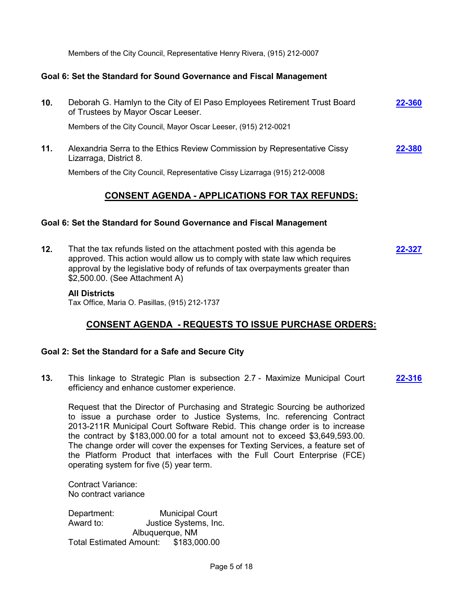Members of the City Council, Representative Henry Rivera, (915) 212-0007

### **Goal 6: Set the Standard for Sound Governance and Fiscal Management**

| 10. | Deborah G. Hamlyn to the City of El Paso Employees Retirement Trust Board<br>of Trustees by Mayor Oscar Leeser. | 22-360 |
|-----|-----------------------------------------------------------------------------------------------------------------|--------|
|     | Members of the City Council, Mayor Oscar Leeser, (915) 212-0021                                                 |        |
| 11. | Alexandria Serra to the Ethics Review Commission by Representative Cissy<br>Lizarraga, District 8.              | 22-380 |
|     | Members of the City Council, Representative Cissy Lizarraga (915) 212-0008                                      |        |

# **CONSENT AGENDA - APPLICATIONS FOR TAX REFUNDS:**

### **Goal 6: Set the Standard for Sound Governance and Fiscal Management**

**12.** That the tax refunds listed on the attachment posted with this agenda be approved. This action would allow us to comply with state law which requires approval by the legislative body of refunds of tax overpayments greater than \$2,500.00. (See Attachment A) **[22-327](http://elpasotexas.legistar.com/gateway.aspx?m=l&id=/matter.aspx?key=6791)**

#### **All Districts**

Tax Office, Maria O. Pasillas, (915) 212-1737

# **CONSENT AGENDA - REQUESTS TO ISSUE PURCHASE ORDERS:**

### **Goal 2: Set the Standard for a Safe and Secure City**

**13.** This linkage to Strategic Plan is subsection 2.7 - Maximize Municipal Court efficiency and enhance customer experience. **[22-316](http://elpasotexas.legistar.com/gateway.aspx?m=l&id=/matter.aspx?key=6780)**

Request that the Director of Purchasing and Strategic Sourcing be authorized to issue a purchase order to Justice Systems, Inc. referencing Contract 2013-211R Municipal Court Software Rebid. This change order is to increase the contract by \$183,000.00 for a total amount not to exceed \$3,649,593.00. The change order will cover the expenses for Texting Services, a feature set of the Platform Product that interfaces with the Full Court Enterprise (FCE) operating system for five (5) year term.

Contract Variance: No contract variance

Department: Municipal Court Award to: Justice Systems, Inc. Albuquerque, NM Total Estimated Amount: \$183,000.00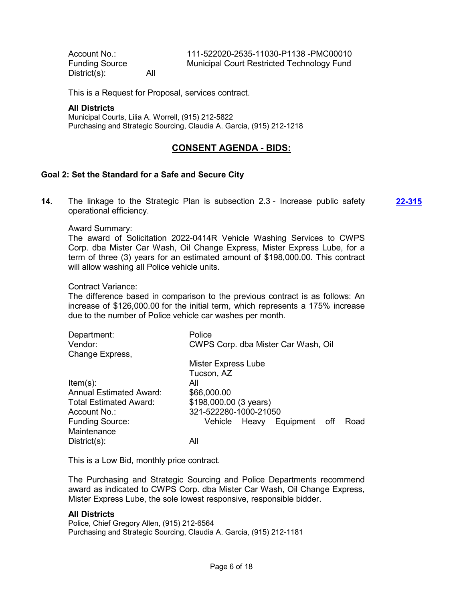District(s): All

Account No.: 111-522020-2535-11030-P1138 -PMC00010 Funding Source Municipal Court Restricted Technology Fund

This is a Request for Proposal, services contract.

#### **All Districts**

Municipal Courts, Lilia A. Worrell, (915) 212-5822 Purchasing and Strategic Sourcing, Claudia A. Garcia, (915) 212-1218

# **CONSENT AGENDA - BIDS:**

### **Goal 2: Set the Standard for a Safe and Secure City**

**14.** The linkage to the Strategic Plan is subsection 2.3 - Increase public safety operational efficiency. **[22-315](http://elpasotexas.legistar.com/gateway.aspx?m=l&id=/matter.aspx?key=6779)**

#### Award Summary:

The award of Solicitation 2022-0414R Vehicle Washing Services to CWPS Corp. dba Mister Car Wash, Oil Change Express, Mister Express Lube, for a term of three (3) years for an estimated amount of \$198,000.00. This contract will allow washing all Police vehicle units.

Contract Variance:

The difference based in comparison to the previous contract is as follows: An increase of \$126,000.00 for the initial term, which represents a 175% increase due to the number of Police vehicle car washes per month.

| Department:<br>Vendor:        | Police<br>CWPS Corp. dba Mister Car Wash, Oil |
|-------------------------------|-----------------------------------------------|
| Change Express,               |                                               |
|                               | <b>Mister Express Lube</b>                    |
|                               | Tucson, AZ                                    |
| $Item(s)$ :                   | All                                           |
| Annual Estimated Award:       | \$66,000.00                                   |
| <b>Total Estimated Award:</b> | \$198,000.00 (3 years)                        |
| Account No.:                  | 321-522280-1000-21050                         |
| <b>Funding Source:</b>        | Equipment off<br>Road<br>Vehicle Heavy        |
| Maintenance                   |                                               |
| $District(s)$ :               | All                                           |

This is a Low Bid, monthly price contract.

The Purchasing and Strategic Sourcing and Police Departments recommend award as indicated to CWPS Corp. dba Mister Car Wash, Oil Change Express, Mister Express Lube, the sole lowest responsive, responsible bidder.

### **All Districts**

Police, Chief Gregory Allen, (915) 212-6564 Purchasing and Strategic Sourcing, Claudia A. Garcia, (915) 212-1181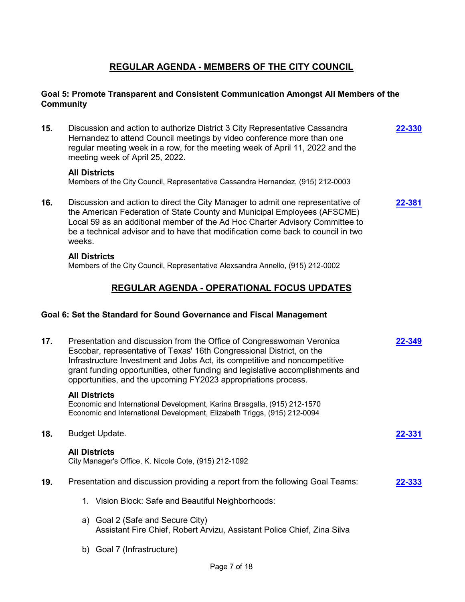# **REGULAR AGENDA - MEMBERS OF THE CITY COUNCIL**

### **Goal 5: Promote Transparent and Consistent Communication Amongst All Members of the Community**

**15.** Discussion and action to authorize District 3 City Representative Cassandra Hernandez to attend Council meetings by video conference more than one regular meeting week in a row, for the meeting week of April 11, 2022 and the meeting week of April 25, 2022. **[22-330](http://elpasotexas.legistar.com/gateway.aspx?m=l&id=/matter.aspx?key=6794)**

### **All Districts**

Members of the City Council, Representative Cassandra Hernandez, (915) 212-0003

**16.** Discussion and action to direct the City Manager to admit one representative of the American Federation of State County and Municipal Employees (AFSCME) Local 59 as an additional member of the Ad Hoc Charter Advisory Committee to be a technical advisor and to have that modification come back to council in two weeks. **[22-381](http://elpasotexas.legistar.com/gateway.aspx?m=l&id=/matter.aspx?key=6845)**

### **All Districts**

Members of the City Council, Representative Alexsandra Annello, (915) 212-0002

# **REGULAR AGENDA - OPERATIONAL FOCUS UPDATES**

### **Goal 6: Set the Standard for Sound Governance and Fiscal Management**

| 17. | Presentation and discussion from the Office of Congresswoman Veronica<br>Escobar, representative of Texas' 16th Congressional District, on the<br>Infrastructure Investment and Jobs Act, its competitive and noncompetitive<br>grant funding opportunities, other funding and legislative accomplishments and<br>opportunities, and the upcoming FY2023 appropriations process. | 2-349  |
|-----|----------------------------------------------------------------------------------------------------------------------------------------------------------------------------------------------------------------------------------------------------------------------------------------------------------------------------------------------------------------------------------|--------|
|     | <b>All Districts</b><br>Economic and International Development, Karina Brasgalla, (915) 212-1570<br>Economic and International Development, Elizabeth Triggs, (915) 212-0094                                                                                                                                                                                                     |        |
| 18. | <b>Budget Update.</b>                                                                                                                                                                                                                                                                                                                                                            | 22-331 |
|     | <b>All Districts</b><br>City Manager's Office, K. Nicole Cote, (915) 212-1092                                                                                                                                                                                                                                                                                                    |        |
| 19. | Presentation and discussion providing a report from the following Goal Teams:                                                                                                                                                                                                                                                                                                    | 22-333 |
|     | Vision Block: Safe and Beautiful Neighborhoods:<br>1.                                                                                                                                                                                                                                                                                                                            |        |
|     | a) Goal 2 (Safe and Secure City)<br>Assistant Fire Chief, Robert Arvizu, Assistant Police Chief, Zina Silva                                                                                                                                                                                                                                                                      |        |
|     | Goal 7 (Infrastructure)<br>b)                                                                                                                                                                                                                                                                                                                                                    |        |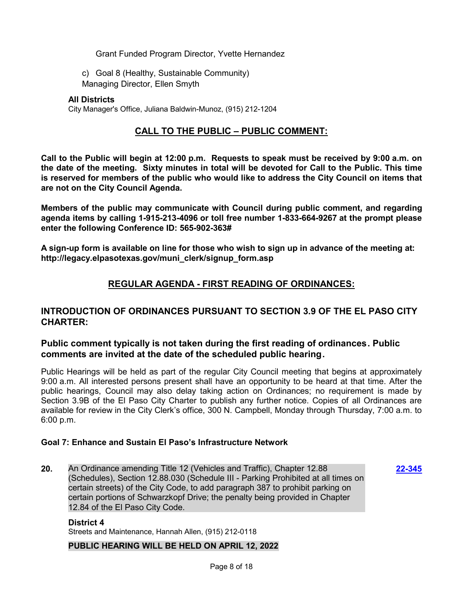Grant Funded Program Director, Yvette Hernandez

c) Goal 8 (Healthy, Sustainable Community) Managing Director, Ellen Smyth

### **All Districts**

City Manager's Office, Juliana Baldwin-Munoz, (915) 212-1204

# **CALL TO THE PUBLIC – PUBLIC COMMENT:**

**Call to the Public will begin at 12:00 p.m. Requests to speak must be received by 9:00 a.m. on the date of the meeting. Sixty minutes in total will be devoted for Call to the Public. This time is reserved for members of the public who would like to address the City Council on items that are not on the City Council Agenda.**

**Members of the public may communicate with Council during public comment, and regarding agenda items by calling 1-915-213-4096 or toll free number 1-833-664-9267 at the prompt please enter the following Conference ID: 565-902-363#**

**A sign-up form is available on line for those who wish to sign up in advance of the meeting at: http://legacy.elpasotexas.gov/muni\_clerk/signup\_form.asp**

# **REGULAR AGENDA - FIRST READING OF ORDINANCES:**

# **INTRODUCTION OF ORDINANCES PURSUANT TO SECTION 3.9 OF THE EL PASO CITY CHARTER:**

# **Public comment typically is not taken during the first reading of ordinances. Public comments are invited at the date of the scheduled public hearing.**

Public Hearings will be held as part of the regular City Council meeting that begins at approximately 9:00 a.m. All interested persons present shall have an opportunity to be heard at that time. After the public hearings, Council may also delay taking action on Ordinances; no requirement is made by Section 3.9B of the El Paso City Charter to publish any further notice. Copies of all Ordinances are available for review in the City Clerk's office, 300 N. Campbell, Monday through Thursday, 7:00 a.m. to 6:00 p.m.

### **Goal 7: Enhance and Sustain El Paso's Infrastructure Network**

**20.** An Ordinance amending Title 12 (Vehicles and Traffic), Chapter 12.88 (Schedules), Section 12.88.030 (Schedule III - Parking Prohibited at all times on certain streets) of the City Code, to add paragraph 387 to prohibit parking on certain portions of Schwarzkopf Drive; the penalty being provided in Chapter 12.84 of the El Paso City Code.

**[22-345](http://elpasotexas.legistar.com/gateway.aspx?m=l&id=/matter.aspx?key=6809)**

#### **District 4**

Streets and Maintenance, Hannah Allen, (915) 212-0118

### **PUBLIC HEARING WILL BE HELD ON APRIL 12, 2022**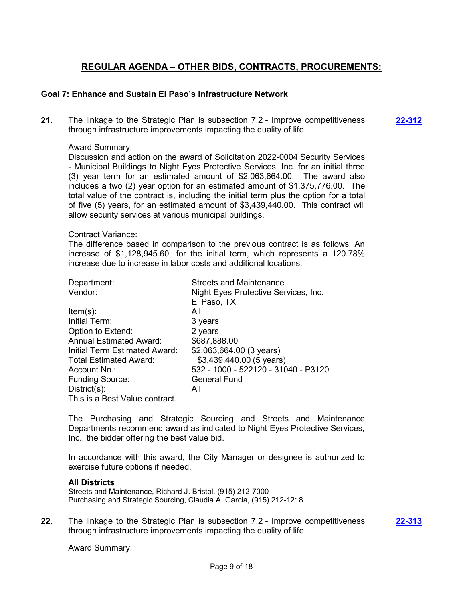# **REGULAR AGENDA – OTHER BIDS, CONTRACTS, PROCUREMENTS:**

### **Goal 7: Enhance and Sustain El Paso's Infrastructure Network**

**21.** The linkage to the Strategic Plan is subsection 7.2 - Improve competitiveness through infrastructure improvements impacting the quality of life **[22-312](http://elpasotexas.legistar.com/gateway.aspx?m=l&id=/matter.aspx?key=6776)**

#### Award Summary:

Discussion and action on the award of Solicitation 2022-0004 Security Services - Municipal Buildings to Night Eyes Protective Services, Inc. for an initial three (3) year term for an estimated amount of \$2,063,664.00. The award also includes a two (2) year option for an estimated amount of \$1,375,776.00. The total value of the contract is, including the initial term plus the option for a total of five (5) years, for an estimated amount of \$3,439,440.00. This contract will allow security services at various municipal buildings.

#### Contract Variance:

The difference based in comparison to the previous contract is as follows: An increase of \$1,128,945.60 for the initial term, which represents a 120.78% increase due to increase in labor costs and additional locations.

| Department:                    | <b>Streets and Maintenance</b>       |
|--------------------------------|--------------------------------------|
| Vendor:                        | Night Eyes Protective Services, Inc. |
|                                | El Paso, TX                          |
| $Item(s)$ :                    | All                                  |
| Initial Term:                  | 3 years                              |
| Option to Extend:              | 2 years                              |
| <b>Annual Estimated Award:</b> | \$687,888.00                         |
| Initial Term Estimated Award:  | \$2,063,664.00 (3 years)             |
| <b>Total Estimated Award:</b>  | \$3,439,440.00 (5 years)             |
| Account No.:                   | 532 - 1000 - 522120 - 31040 - P3120  |
| <b>Funding Source:</b>         | <b>General Fund</b>                  |
| $District(s)$ :                | All                                  |
| This is a Best Value contract. |                                      |

The Purchasing and Strategic Sourcing and Streets and Maintenance Departments recommend award as indicated to Night Eyes Protective Services, Inc., the bidder offering the best value bid.

In accordance with this award, the City Manager or designee is authorized to exercise future options if needed.

### **All Districts**

Streets and Maintenance, Richard J. Bristol, (915) 212-7000 Purchasing and Strategic Sourcing, Claudia A. Garcia, (915) 212-1218

**22.** The linkage to the Strategic Plan is subsection 7.2 - Improve competitiveness through infrastructure improvements impacting the quality of life **[22-313](http://elpasotexas.legistar.com/gateway.aspx?m=l&id=/matter.aspx?key=6777)**

Award Summary: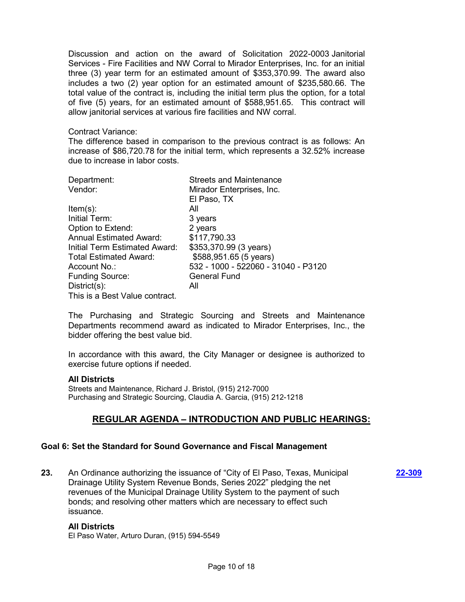Discussion and action on the award of Solicitation 2022-0003 Janitorial Services - Fire Facilities and NW Corral to Mirador Enterprises, Inc. for an initial three (3) year term for an estimated amount of \$353,370.99. The award also includes a two (2) year option for an estimated amount of \$235,580.66. The total value of the contract is, including the initial term plus the option, for a total of five (5) years, for an estimated amount of \$588,951.65. This contract will allow janitorial services at various fire facilities and NW corral.

#### Contract Variance:

The difference based in comparison to the previous contract is as follows: An increase of \$86,720.78 for the initial term, which represents a 32.52% increase due to increase in labor costs.

| Department:                    | <b>Streets and Maintenance</b>      |
|--------------------------------|-------------------------------------|
| Vendor:                        | Mirador Enterprises, Inc.           |
|                                | El Paso, TX                         |
| $Item(s)$ :                    | All                                 |
| Initial Term:                  | 3 years                             |
| Option to Extend:              | 2 years                             |
| <b>Annual Estimated Award:</b> | \$117,790.33                        |
| Initial Term Estimated Award:  | \$353,370.99 (3 years)              |
| Total Estimated Award:         | \$588,951.65 (5 years)              |
| Account No.:                   | 532 - 1000 - 522060 - 31040 - P3120 |
| <b>Funding Source:</b>         | <b>General Fund</b>                 |
| $Distribt(s)$ :                | All                                 |
| This is a Best Value contract. |                                     |

The Purchasing and Strategic Sourcing and Streets and Maintenance Departments recommend award as indicated to Mirador Enterprises, Inc., the bidder offering the best value bid.

In accordance with this award, the City Manager or designee is authorized to exercise future options if needed.

### **All Districts**

Streets and Maintenance, Richard J. Bristol, (915) 212-7000 Purchasing and Strategic Sourcing, Claudia A. Garcia, (915) 212-1218

# **REGULAR AGENDA – INTRODUCTION AND PUBLIC HEARINGS:**

### **Goal 6: Set the Standard for Sound Governance and Fiscal Management**

**23.** An Ordinance authorizing the issuance of "City of El Paso, Texas, Municipal Drainage Utility System Revenue Bonds, Series 2022" pledging the net revenues of the Municipal Drainage Utility System to the payment of such bonds; and resolving other matters which are necessary to effect such issuance. **[22-309](http://elpasotexas.legistar.com/gateway.aspx?m=l&id=/matter.aspx?key=6773)**

#### **All Districts**

El Paso Water, Arturo Duran, (915) 594-5549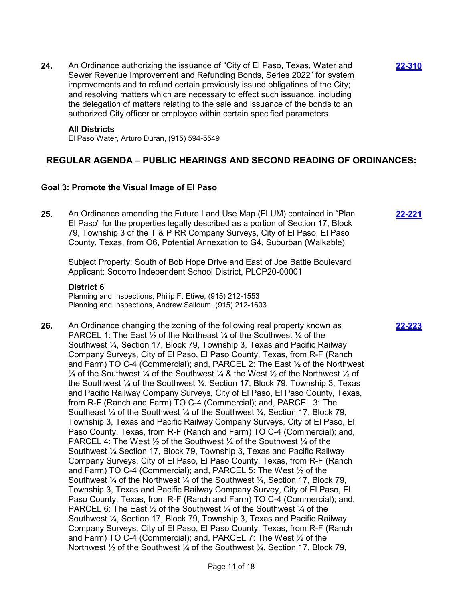**24.** An Ordinance authorizing the issuance of "City of El Paso, Texas, Water and Sewer Revenue Improvement and Refunding Bonds, Series 2022" for system improvements and to refund certain previously issued obligations of the City; and resolving matters which are necessary to effect such issuance, including the delegation of matters relating to the sale and issuance of the bonds to an authorized City officer or employee within certain specified parameters.

**[22-310](http://elpasotexas.legistar.com/gateway.aspx?m=l&id=/matter.aspx?key=6774)**

#### **All Districts**

El Paso Water, Arturo Duran, (915) 594-5549

### **REGULAR AGENDA – PUBLIC HEARINGS AND SECOND READING OF ORDINANCES:**

#### **Goal 3: Promote the Visual Image of El Paso**

**25.** An Ordinance amending the Future Land Use Map (FLUM) contained in "Plan El Paso" for the properties legally described as a portion of Section 17, Block 79, Township 3 of the T & P RR Company Surveys, City of El Paso, El Paso County, Texas, from O6, Potential Annexation to G4, Suburban (Walkable). **[22-221](http://elpasotexas.legistar.com/gateway.aspx?m=l&id=/matter.aspx?key=6685)**

Subject Property: South of Bob Hope Drive and East of Joe Battle Boulevard Applicant: Socorro Independent School District, PLCP20-00001

#### **District 6**

Planning and Inspections, Philip F. Etiwe, (915) 212-1553 Planning and Inspections, Andrew Salloum, (915) 212-1603

**26.** An Ordinance changing the zoning of the following real property known as PARCEL 1: The East  $\frac{1}{2}$  of the Northeast  $\frac{1}{4}$  of the Southwest  $\frac{1}{4}$  of the Southwest ¼, Section 17, Block 79, Township 3, Texas and Pacific Railway Company Surveys, City of El Paso, El Paso County, Texas, from R-F (Ranch and Farm) TO C-4 (Commercial); and, PARCEL 2: The East ½ of the Northwest  $\frac{1}{4}$  of the Southwest  $\frac{1}{4}$  of the Southwest  $\frac{1}{4}$  & the West  $\frac{1}{2}$  of the Northwest  $\frac{1}{2}$  of the Southwest ¼ of the Southwest ¼, Section 17, Block 79, Township 3, Texas and Pacific Railway Company Surveys, City of El Paso, El Paso County, Texas, from R-F (Ranch and Farm) TO C-4 (Commercial); and, PARCEL 3: The Southeast ¼ of the Southwest ¼ of the Southwest ¼, Section 17, Block 79, Township 3, Texas and Pacific Railway Company Surveys, City of El Paso, El Paso County, Texas, from R-F (Ranch and Farm) TO C-4 (Commercial); and, PARCEL 4: The West  $\frac{1}{2}$  of the Southwest  $\frac{1}{4}$  of the Southwest  $\frac{1}{4}$  of the Southwest ¼ Section 17, Block 79, Township 3, Texas and Pacific Railway Company Surveys, City of El Paso, El Paso County, Texas, from R-F (Ranch and Farm) TO C-4 (Commercial); and, PARCEL 5: The West ½ of the Southwest ¼ of the Northwest ¼ of the Southwest ¼, Section 17, Block 79, Township 3, Texas and Pacific Railway Company Survey, City of El Paso, El Paso County, Texas, from R-F (Ranch and Farm) TO C-4 (Commercial); and, PARCEL 6: The East  $\frac{1}{2}$  of the Southwest  $\frac{1}{4}$  of the Southwest  $\frac{1}{4}$  of the Southwest ¼, Section 17, Block 79, Township 3, Texas and Pacific Railway Company Surveys, City of El Paso, El Paso County, Texas, from R-F (Ranch and Farm) TO C-4 (Commercial); and, PARCEL 7: The West ½ of the Northwest 1/2 of the Southwest 1/4 of the Southwest 1/4, Section 17, Block 79,

**[22-223](http://elpasotexas.legistar.com/gateway.aspx?m=l&id=/matter.aspx?key=6687)**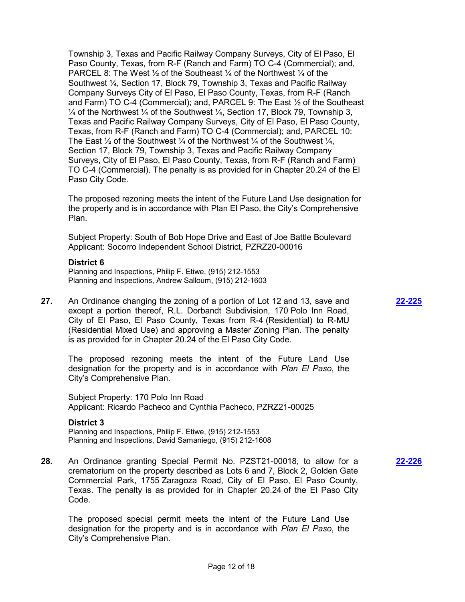Township 3, Texas and Pacific Railway Company Surveys, City of El Paso, El Paso County, Texas, from R-F (Ranch and Farm) TO C-4 (Commercial); and, PARCEL 8: The West  $\frac{1}{2}$  of the Southeast  $\frac{1}{4}$  of the Northwest  $\frac{1}{4}$  of the Southwest ¼, Section 17, Block 79, Township 3, Texas and Pacific Railway Company Surveys City of El Paso, El Paso County, Texas, from R-F (Ranch and Farm) TO C-4 (Commercial); and, PARCEL 9: The East ½ of the Southeast  $\frac{1}{4}$  of the Northwest  $\frac{1}{4}$  of the Southwest  $\frac{1}{4}$ , Section 17, Block 79, Township 3, Texas and Pacific Railway Company Surveys, City of El Paso, El Paso County, Texas, from R-F (Ranch and Farm) TO C-4 (Commercial); and, PARCEL 10: The East  $\frac{1}{2}$  of the Southwest  $\frac{1}{4}$  of the Northwest  $\frac{1}{4}$  of the Southwest  $\frac{1}{4}$ . Section 17, Block 79, Township 3, Texas and Pacific Railway Company Surveys, City of El Paso, El Paso County, Texas, from R-F (Ranch and Farm) TO C-4 (Commercial). The penalty is as provided for in Chapter 20.24 of the El Paso City Code.

The proposed rezoning meets the intent of the Future Land Use designation for the property and is in accordance with Plan El Paso, the City's Comprehensive Plan.

Subject Property: South of Bob Hope Drive and East of Joe Battle Boulevard Applicant: Socorro Independent School District, PZRZ20-00016

### **District 6**

Planning and Inspections, Philip F. Etiwe, (915) 212-1553 Planning and Inspections, Andrew Salloum, (915) 212-1603

**27.** An Ordinance changing the zoning of a portion of Lot 12 and 13, save and except a portion thereof, R.L. Dorbandt Subdivision, 170 Polo Inn Road, City of El Paso, El Paso County, Texas from R-4 (Residential) to R-MU (Residential Mixed Use) and approving a Master Zoning Plan. The penalty is as provided for in Chapter 20.24 of the El Paso City Code.

The proposed rezoning meets the intent of the Future Land Use designation for the property and is in accordance with *Plan El Paso*, the City's Comprehensive Plan.

Subject Property: 170 Polo Inn Road Applicant: Ricardo Pacheco and Cynthia Pacheco, PZRZ21-00025

#### **District 3**

Planning and Inspections, Philip F. Etiwe, (915) 212-1553 Planning and Inspections, David Samaniego, (915) 212-1608

**28.** An Ordinance granting Special Permit No. PZST21-00018, to allow for a crematorium on the property described as Lots 6 and 7, Block 2, Golden Gate Commercial Park, 1755 Zaragoza Road, City of El Paso, El Paso County, Texas. The penalty is as provided for in Chapter 20.24 of the El Paso City Code.

The proposed special permit meets the intent of the Future Land Use designation for the property and is in accordance with *Plan El Paso*, the City's Comprehensive Plan.

#### **[22-226](http://elpasotexas.legistar.com/gateway.aspx?m=l&id=/matter.aspx?key=6690)**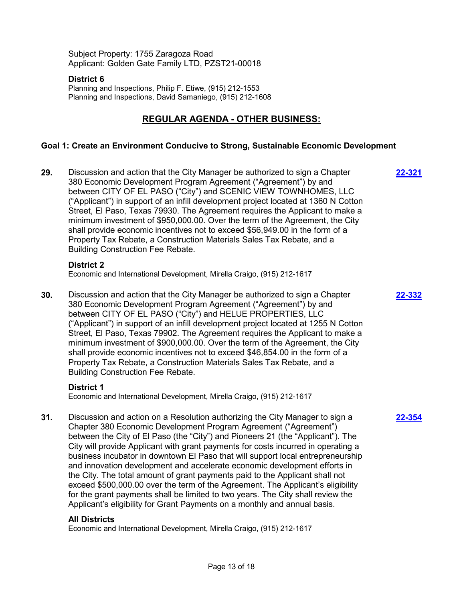Subject Property: 1755 Zaragoza Road Applicant: Golden Gate Family LTD, PZST21-00018

### **District 6**

Planning and Inspections, Philip F. Etiwe, (915) 212-1553 Planning and Inspections, David Samaniego, (915) 212-1608

# **REGULAR AGENDA - OTHER BUSINESS:**

### **Goal 1: Create an Environment Conducive to Strong, Sustainable Economic Development**

**29.** Discussion and action that the City Manager be authorized to sign a Chapter 380 Economic Development Program Agreement ("Agreement") by and between CITY OF EL PASO ("City") and SCENIC VIEW TOWNHOMES, LLC ("Applicant") in support of an infill development project located at 1360 N Cotton Street, El Paso, Texas 79930. The Agreement requires the Applicant to make a minimum investment of \$950,000.00. Over the term of the Agreement, the City shall provide economic incentives not to exceed \$56,949.00 in the form of a Property Tax Rebate, a Construction Materials Sales Tax Rebate, and a Building Construction Fee Rebate. **[22-321](http://elpasotexas.legistar.com/gateway.aspx?m=l&id=/matter.aspx?key=6785)**

**[22-332](http://elpasotexas.legistar.com/gateway.aspx?m=l&id=/matter.aspx?key=6796)**

**[22-354](http://elpasotexas.legistar.com/gateway.aspx?m=l&id=/matter.aspx?key=6818)**

### **District 2**

Economic and International Development, Mirella Craigo, (915) 212-1617

**30.** Discussion and action that the City Manager be authorized to sign a Chapter 380 Economic Development Program Agreement ("Agreement") by and between CITY OF EL PASO ("City") and HELUE PROPERTIES, LLC ("Applicant") in support of an infill development project located at 1255 N Cotton Street, El Paso, Texas 79902. The Agreement requires the Applicant to make a minimum investment of \$900,000.00. Over the term of the Agreement, the City shall provide economic incentives not to exceed \$46,854.00 in the form of a Property Tax Rebate, a Construction Materials Sales Tax Rebate, and a Building Construction Fee Rebate.

### **District 1**

Economic and International Development, Mirella Craigo, (915) 212-1617

**31.** Discussion and action on a Resolution authorizing the City Manager to sign a Chapter 380 Economic Development Program Agreement ("Agreement") between the City of El Paso (the "City") and Pioneers 21 (the "Applicant"). The City will provide Applicant with grant payments for costs incurred in operating a business incubator in downtown El Paso that will support local entrepreneurship and innovation development and accelerate economic development efforts in the City. The total amount of grant payments paid to the Applicant shall not exceed \$500,000.00 over the term of the Agreement. The Applicant's eligibility for the grant payments shall be limited to two years. The City shall review the Applicant's eligibility for Grant Payments on a monthly and annual basis.

### **All Districts**

Economic and International Development, Mirella Craigo, (915) 212-1617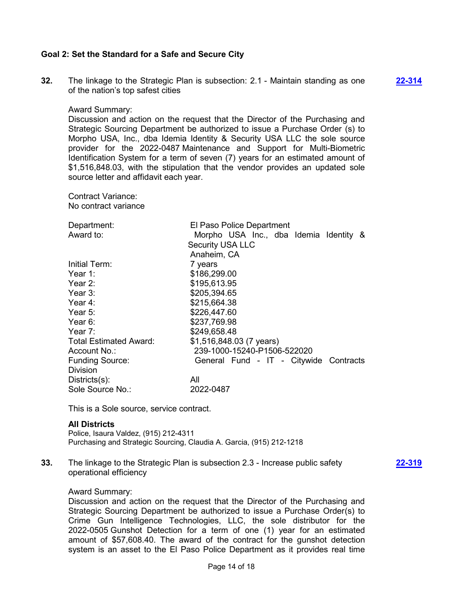### **Goal 2: Set the Standard for a Safe and Secure City**

**32.** The linkage to the Strategic Plan is subsection: 2.1 - Maintain standing as one of the nation's top safest cities

**[22-314](http://elpasotexas.legistar.com/gateway.aspx?m=l&id=/matter.aspx?key=6778)**

Award Summary:

Discussion and action on the request that the Director of the Purchasing and Strategic Sourcing Department be authorized to issue a Purchase Order (s) to Morpho USA, Inc., dba Idemia Identity & Security USA LLC the sole source provider for the 2022-0487 Maintenance and Support for Multi-Biometric Identification System for a term of seven (7) years for an estimated amount of \$1,516,848.03, with the stipulation that the vendor provides an updated sole source letter and affidavit each year.

Contract Variance: No contract variance

| Department:                   | El Paso Police Department              |
|-------------------------------|----------------------------------------|
| Award to:                     | Morpho USA Inc., dba Idemia Identity & |
|                               | <b>Security USA LLC</b>                |
|                               | Anaheim, CA                            |
| Initial Term:                 | 7 years                                |
| Year 1:                       | \$186,299.00                           |
| Year 2:                       | \$195,613.95                           |
| Year $3$ :                    | \$205,394.65                           |
| Year 4:                       | \$215,664.38                           |
| Year 5:                       | \$226,447.60                           |
| Year 6:                       | \$237,769.98                           |
| Year $7:$                     | \$249,658.48                           |
| <b>Total Estimated Award:</b> | \$1,516,848.03 (7 years)               |
| Account No.:                  | 239-1000-15240-P1506-522020            |
| <b>Funding Source:</b>        | General Fund - IT - Citywide Contracts |
| Division                      |                                        |
| $Disticts(s)$ :               | All                                    |
| Sole Source No.:              | 2022-0487                              |

This is a Sole source, service contract.

### **All Districts**

Police, Isaura Valdez, (915) 212-4311 Purchasing and Strategic Sourcing, Claudia A. Garcia, (915) 212-1218

**33.** The linkage to the Strategic Plan is subsection 2.3 - Increase public safety operational efficiency

**[22-319](http://elpasotexas.legistar.com/gateway.aspx?m=l&id=/matter.aspx?key=6783)**

### Award Summary:

Discussion and action on the request that the Director of the Purchasing and Strategic Sourcing Department be authorized to issue a Purchase Order(s) to Crime Gun Intelligence Technologies, LLC, the sole distributor for the 2022-0505 Gunshot Detection for a term of one (1) year for an estimated amount of \$57,608.40. The award of the contract for the gunshot detection system is an asset to the El Paso Police Department as it provides real time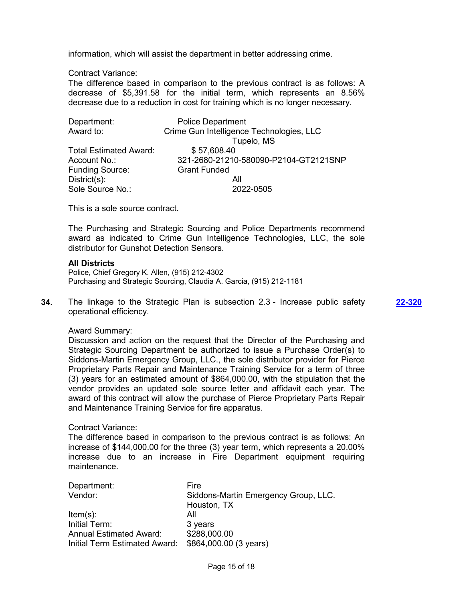information, which will assist the department in better addressing crime.

Contract Variance:

The difference based in comparison to the previous contract is as follows: A decrease of \$5,391.58 for the initial term, which represents an 8.56% decrease due to a reduction in cost for training which is no longer necessary.

| Department:                   | <b>Police Department</b>                 |
|-------------------------------|------------------------------------------|
| Award to:                     | Crime Gun Intelligence Technologies, LLC |
|                               | Tupelo, MS                               |
| <b>Total Estimated Award:</b> | \$57,608.40                              |
| Account No.:                  | 321-2680-21210-580090-P2104-GT2121SNP    |
| <b>Funding Source:</b>        | <b>Grant Funded</b>                      |
| $Distribt(s)$ :               | All                                      |
| Sole Source No.:              | 2022-0505                                |

This is a sole source contract.

The Purchasing and Strategic Sourcing and Police Departments recommend award as indicated to Crime Gun Intelligence Technologies, LLC, the sole distributor for Gunshot Detection Sensors.

#### **All Districts**

Police, Chief Gregory K. Allen, (915) 212-4302 Purchasing and Strategic Sourcing, Claudia A. Garcia, (915) 212-1181

**34.** The linkage to the Strategic Plan is subsection 2.3 - Increase public safety operational efficiency.

**[22-320](http://elpasotexas.legistar.com/gateway.aspx?m=l&id=/matter.aspx?key=6784)**

#### Award Summary:

Discussion and action on the request that the Director of the Purchasing and Strategic Sourcing Department be authorized to issue a Purchase Order(s) to Siddons-Martin Emergency Group, LLC., the sole distributor provider for Pierce Proprietary Parts Repair and Maintenance Training Service for a term of three (3) years for an estimated amount of \$864,000.00, with the stipulation that the vendor provides an updated sole source letter and affidavit each year. The award of this contract will allow the purchase of Pierce Proprietary Parts Repair and Maintenance Training Service for fire apparatus.

### Contract Variance:

The difference based in comparison to the previous contract is as follows: An increase of \$144,000.00 for the three (3) year term, which represents a 20.00% increase due to an increase in Fire Department equipment requiring maintenance.

| Department:                    | Fire                                 |
|--------------------------------|--------------------------------------|
| Vendor:                        | Siddons-Martin Emergency Group, LLC. |
|                                | Houston, TX                          |
| $Item(s)$ :                    | All                                  |
| Initial Term:                  | 3 years                              |
| <b>Annual Estimated Award:</b> | \$288,000.00                         |
| Initial Term Estimated Award:  | \$864,000.00 (3 years)               |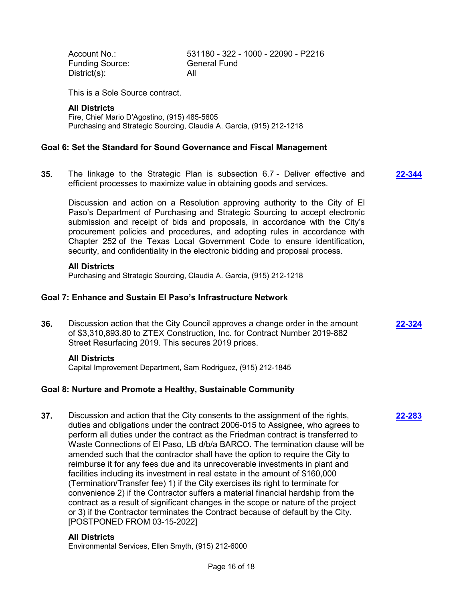Account No.: 531180 - 322 - 1000 - 22090 - P2216 Funding Source: General Fund District(s): All

This is a Sole Source contract.

#### **All Districts**

Fire, Chief Mario D'Agostino, (915) 485-5605 Purchasing and Strategic Sourcing, Claudia A. Garcia, (915) 212-1218

#### **Goal 6: Set the Standard for Sound Governance and Fiscal Management**

**35.** The linkage to the Strategic Plan is subsection 6.7 - Deliver effective and efficient processes to maximize value in obtaining goods and services. **[22-344](http://elpasotexas.legistar.com/gateway.aspx?m=l&id=/matter.aspx?key=6808)**

Discussion and action on a Resolution approving authority to the City of El Paso's Department of Purchasing and Strategic Sourcing to accept electronic submission and receipt of bids and proposals, in accordance with the City's procurement policies and procedures, and adopting rules in accordance with Chapter 252 of the Texas Local Government Code to ensure identification, security, and confidentiality in the electronic bidding and proposal process.

#### **All Districts**

Purchasing and Strategic Sourcing, Claudia A. Garcia, (915) 212-1218

### **Goal 7: Enhance and Sustain El Paso's Infrastructure Network**

**36.** Discussion action that the City Council approves a change order in the amount of \$3,310,893.80 to ZTEX Construction, Inc. for Contract Number 2019-882 Street Resurfacing 2019. This secures 2019 prices. **[22-324](http://elpasotexas.legistar.com/gateway.aspx?m=l&id=/matter.aspx?key=6788)**

**[22-283](http://elpasotexas.legistar.com/gateway.aspx?m=l&id=/matter.aspx?key=6747)**

### **All Districts**

Capital Improvement Department, Sam Rodriguez, (915) 212-1845

### **Goal 8: Nurture and Promote a Healthy, Sustainable Community**

**37.** Discussion and action that the City consents to the assignment of the rights, duties and obligations under the contract 2006-015 to Assignee, who agrees to perform all duties under the contract as the Friedman contract is transferred to Waste Connections of El Paso, LB d/b/a BARCO. The termination clause will be amended such that the contractor shall have the option to require the City to reimburse it for any fees due and its unrecoverable investments in plant and facilities including its investment in real estate in the amount of \$160,000 (Termination/Transfer fee) 1) if the City exercises its right to terminate for convenience 2) if the Contractor suffers a material financial hardship from the contract as a result of significant changes in the scope or nature of the project or 3) if the Contractor terminates the Contract because of default by the City. [POSTPONED FROM 03-15-2022]

### **All Districts**

Environmental Services, Ellen Smyth, (915) 212-6000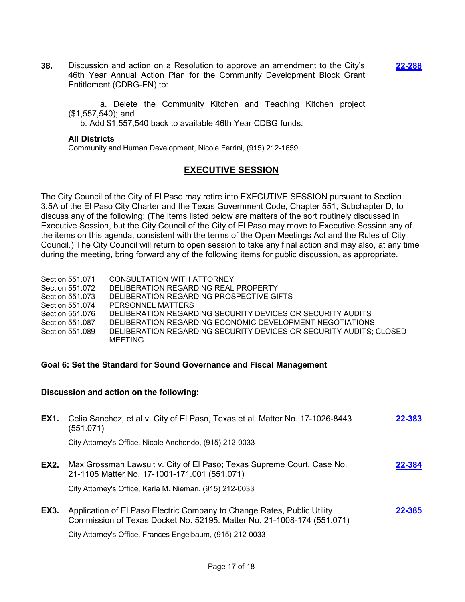**38.** Discussion and action on a Resolution to approve an amendment to the City's 46th Year Annual Action Plan for the Community Development Block Grant Entitlement (CDBG-EN) to: **[22-288](http://elpasotexas.legistar.com/gateway.aspx?m=l&id=/matter.aspx?key=6752)**

 a. Delete the Community Kitchen and Teaching Kitchen project (\$1,557,540); and

b. Add \$1,557,540 back to available 46th Year CDBG funds.

#### **All Districts**

Community and Human Development, Nicole Ferrini, (915) 212-1659

# **EXECUTIVE SESSION**

The City Council of the City of El Paso may retire into EXECUTIVE SESSION pursuant to Section 3.5A of the El Paso City Charter and the Texas Government Code, Chapter 551, Subchapter D, to discuss any of the following: (The items listed below are matters of the sort routinely discussed in Executive Session, but the City Council of the City of El Paso may move to Executive Session any of the items on this agenda, consistent with the terms of the Open Meetings Act and the Rules of City Council.) The City Council will return to open session to take any final action and may also, at any time during the meeting, bring forward any of the following items for public discussion, as appropriate.

- Section 551.071 CONSULTATION WITH ATTORNEY
- Section 551.072 DELIBERATION REGARDING REAL PROPERTY<br>Section 551.073 DELIBERATION REGARDING PROSPECTIVE GI
- DELIBERATION REGARDING PROSPECTIVE GIFTS
- Section 551.074 PERSONNEL MATTERS
- Section 551.076 DELIBERATION REGARDING SECURITY DEVICES OR SECURITY AUDITS
- Section 551.087 DELIBERATION REGARDING ECONOMIC DEVELOPMENT NEGOTIATIONS
- Section 551.089 DELIBERATION REGARDING SECURITY DEVICES OR SECURITY AUDITS; CLOSED MEETING

### **Goal 6: Set the Standard for Sound Governance and Fiscal Management**

### **Discussion and action on the following:**

| EX1. | Celia Sanchez, et al v. City of El Paso, Texas et al. Matter No. 17-1026-8443<br>(551.071)                                                        | 22-383 |
|------|---------------------------------------------------------------------------------------------------------------------------------------------------|--------|
|      | City Attorney's Office, Nicole Anchondo, (915) 212-0033                                                                                           |        |
| EX2. | Max Grossman Lawsuit v. City of El Paso; Texas Supreme Court, Case No.<br>21-1105 Matter No. 17-1001-171.001 (551.071)                            | 22-384 |
|      | City Attorney's Office, Karla M. Nieman, (915) 212-0033                                                                                           |        |
| EX3. | Application of El Paso Electric Company to Change Rates, Public Utility<br>Commission of Texas Docket No. 52195. Matter No. 21-1008-174 (551.071) | 22-385 |
|      | City Attorney's Office, Frances Engelbaum, (915) 212-0033                                                                                         |        |